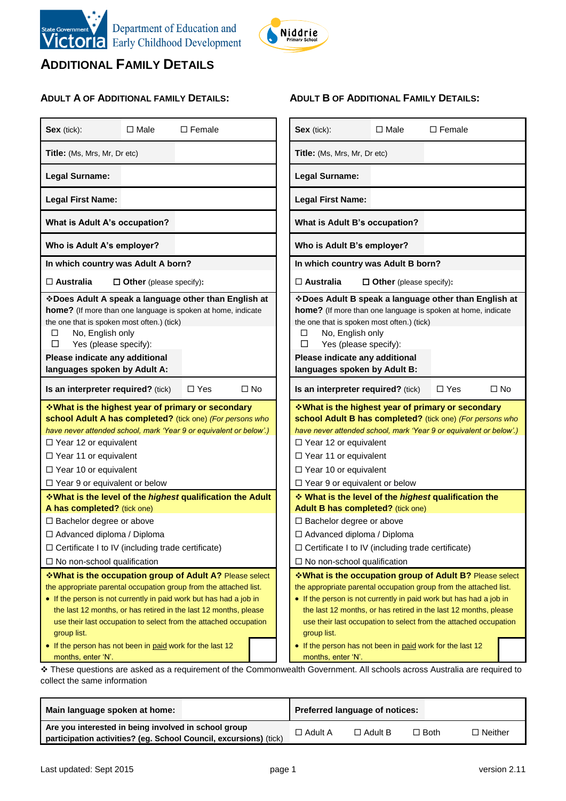



**ADULT B OF ADDITIONAL FAMILY DETAILS:**

### **ADDITIONAL FAMILY DETAILS**

### **ADULT A OF ADDITIONAL FAMILY DETAILS:**

| Title: (Ms, Mrs, Mr, Dr etc)<br>Title: (Ms, Mrs, Mr, Dr etc)<br>Legal Surname:<br>Legal Surname:<br><b>Legal First Name:</b><br><b>Legal First Name:</b><br>What is Adult A's occupation?<br>What is Adult B's occupation?<br>Who is Adult A's employer?<br>Who is Adult B's employer?<br>In which country was Adult A born?<br>In which country was Adult B born?<br>$\square$ Australia<br>$\square$ Australia<br>$\Box$ Other (please specify):<br>$\Box$ Other (please specify):<br>❖ Does Adult A speak a language other than English at<br>*Does Adult B speak a language other than English at<br>home? (If more than one language is spoken at home, indicate<br>home? (If more than one language is spoken at home, indicate<br>the one that is spoken most often.) (tick)<br>the one that is spoken most often.) (tick)<br>No, English only<br>No, English only<br>□<br>□<br>$\Box$<br>Yes (please specify):<br>□<br>Yes (please specify):<br>Please indicate any additional<br>Please indicate any additional<br>languages spoken by Adult A:<br>languages spoken by Adult B:<br>$\Box$ Yes<br>$\square$ No<br>Is an interpreter required? (tick)<br>$\Box$ Yes<br>$\square$ No<br>Is an interpreter required? (tick)<br><b>V</b> What is the highest year of primary or secondary ↓<br><b>V</b> What is the highest year of primary or secondary ↓<br>school Adult A has completed? (tick one) (For persons who<br>school Adult B has completed? (tick one) (For persons who<br>have never attended school, mark 'Year 9 or equivalent or below'.)<br>have never attended school, mark 'Year 9 or equivalent or below'.)<br>$\Box$ Year 12 or equivalent<br>$\Box$ Year 12 or equivalent<br>□ Year 11 or equivalent<br>$\Box$ Year 11 or equivalent<br>$\Box$ Year 10 or equivalent<br>$\Box$ Year 10 or equivalent<br>□ Year 9 or equivalent or below<br>$\Box$ Year 9 or equivalent or below<br>What is the level of the highest qualification the<br><b>What is the level of the highest qualification the Adult</b><br>A has completed? (tick one)<br>Adult B has completed? (tick one)<br>□ Bachelor degree or above<br>□ Bachelor degree or above<br>□ Advanced diploma / Diploma<br>□ Advanced diploma / Diploma<br>$\Box$ Certificate I to IV (including trade certificate)<br>$\Box$ Certificate I to IV (including trade certificate)<br>$\Box$ No non-school qualification<br>$\Box$ No non-school qualification<br>*What is the occupation group of Adult A? Please select<br><b>VVhat is the occupation group of Adult B?</b> Please select<br>the appropriate parental occupation group from the attached list.<br>the appropriate parental occupation group from the attached list.<br>• If the person is not currently in paid work but has had a job in<br>• If the person is not currently in paid work but has had a job in<br>the last 12 months, or has retired in the last 12 months, please<br>the last 12 months, or has retired in the last 12 months, please<br>use their last occupation to select from the attached occupation<br>use their last occupation to select from the attached occupation<br>group list.<br>group list.<br>• If the person has not been in paid work for the last 12<br>• If the person has not been in paid work for the last 12<br>months, enter 'N'.<br>months, enter 'N'. | Sex (tick): | $\Box$ Male | $\Box$ Female |  | Sex (tick): | $\Box$ Male | $\Box$ Female |  |
|------------------------------------------------------------------------------------------------------------------------------------------------------------------------------------------------------------------------------------------------------------------------------------------------------------------------------------------------------------------------------------------------------------------------------------------------------------------------------------------------------------------------------------------------------------------------------------------------------------------------------------------------------------------------------------------------------------------------------------------------------------------------------------------------------------------------------------------------------------------------------------------------------------------------------------------------------------------------------------------------------------------------------------------------------------------------------------------------------------------------------------------------------------------------------------------------------------------------------------------------------------------------------------------------------------------------------------------------------------------------------------------------------------------------------------------------------------------------------------------------------------------------------------------------------------------------------------------------------------------------------------------------------------------------------------------------------------------------------------------------------------------------------------------------------------------------------------------------------------------------------------------------------------------------------------------------------------------------------------------------------------------------------------------------------------------------------------------------------------------------------------------------------------------------------------------------------------------------------------------------------------------------------------------------------------------------------------------------------------------------------------------------------------------------------------------------------------------------------------------------------------------------------------------------------------------------------------------------------------------------------------------------------------------------------------------------------------------------------------------------------------------------------------------------------------------------------------------------------------------------------------------------------------------------------------------------------------------------------------------------------------------------------------------------------------------------------------------------------------------------------------------------------------------------------------------------------------------------------------------------------------------------------------------------------------------------------------------------|-------------|-------------|---------------|--|-------------|-------------|---------------|--|
|                                                                                                                                                                                                                                                                                                                                                                                                                                                                                                                                                                                                                                                                                                                                                                                                                                                                                                                                                                                                                                                                                                                                                                                                                                                                                                                                                                                                                                                                                                                                                                                                                                                                                                                                                                                                                                                                                                                                                                                                                                                                                                                                                                                                                                                                                                                                                                                                                                                                                                                                                                                                                                                                                                                                                                                                                                                                                                                                                                                                                                                                                                                                                                                                                                                                                                                                                |             |             |               |  |             |             |               |  |
|                                                                                                                                                                                                                                                                                                                                                                                                                                                                                                                                                                                                                                                                                                                                                                                                                                                                                                                                                                                                                                                                                                                                                                                                                                                                                                                                                                                                                                                                                                                                                                                                                                                                                                                                                                                                                                                                                                                                                                                                                                                                                                                                                                                                                                                                                                                                                                                                                                                                                                                                                                                                                                                                                                                                                                                                                                                                                                                                                                                                                                                                                                                                                                                                                                                                                                                                                |             |             |               |  |             |             |               |  |
|                                                                                                                                                                                                                                                                                                                                                                                                                                                                                                                                                                                                                                                                                                                                                                                                                                                                                                                                                                                                                                                                                                                                                                                                                                                                                                                                                                                                                                                                                                                                                                                                                                                                                                                                                                                                                                                                                                                                                                                                                                                                                                                                                                                                                                                                                                                                                                                                                                                                                                                                                                                                                                                                                                                                                                                                                                                                                                                                                                                                                                                                                                                                                                                                                                                                                                                                                |             |             |               |  |             |             |               |  |
|                                                                                                                                                                                                                                                                                                                                                                                                                                                                                                                                                                                                                                                                                                                                                                                                                                                                                                                                                                                                                                                                                                                                                                                                                                                                                                                                                                                                                                                                                                                                                                                                                                                                                                                                                                                                                                                                                                                                                                                                                                                                                                                                                                                                                                                                                                                                                                                                                                                                                                                                                                                                                                                                                                                                                                                                                                                                                                                                                                                                                                                                                                                                                                                                                                                                                                                                                |             |             |               |  |             |             |               |  |
|                                                                                                                                                                                                                                                                                                                                                                                                                                                                                                                                                                                                                                                                                                                                                                                                                                                                                                                                                                                                                                                                                                                                                                                                                                                                                                                                                                                                                                                                                                                                                                                                                                                                                                                                                                                                                                                                                                                                                                                                                                                                                                                                                                                                                                                                                                                                                                                                                                                                                                                                                                                                                                                                                                                                                                                                                                                                                                                                                                                                                                                                                                                                                                                                                                                                                                                                                |             |             |               |  |             |             |               |  |
|                                                                                                                                                                                                                                                                                                                                                                                                                                                                                                                                                                                                                                                                                                                                                                                                                                                                                                                                                                                                                                                                                                                                                                                                                                                                                                                                                                                                                                                                                                                                                                                                                                                                                                                                                                                                                                                                                                                                                                                                                                                                                                                                                                                                                                                                                                                                                                                                                                                                                                                                                                                                                                                                                                                                                                                                                                                                                                                                                                                                                                                                                                                                                                                                                                                                                                                                                |             |             |               |  |             |             |               |  |
|                                                                                                                                                                                                                                                                                                                                                                                                                                                                                                                                                                                                                                                                                                                                                                                                                                                                                                                                                                                                                                                                                                                                                                                                                                                                                                                                                                                                                                                                                                                                                                                                                                                                                                                                                                                                                                                                                                                                                                                                                                                                                                                                                                                                                                                                                                                                                                                                                                                                                                                                                                                                                                                                                                                                                                                                                                                                                                                                                                                                                                                                                                                                                                                                                                                                                                                                                |             |             |               |  |             |             |               |  |
|                                                                                                                                                                                                                                                                                                                                                                                                                                                                                                                                                                                                                                                                                                                                                                                                                                                                                                                                                                                                                                                                                                                                                                                                                                                                                                                                                                                                                                                                                                                                                                                                                                                                                                                                                                                                                                                                                                                                                                                                                                                                                                                                                                                                                                                                                                                                                                                                                                                                                                                                                                                                                                                                                                                                                                                                                                                                                                                                                                                                                                                                                                                                                                                                                                                                                                                                                |             |             |               |  |             |             |               |  |
|                                                                                                                                                                                                                                                                                                                                                                                                                                                                                                                                                                                                                                                                                                                                                                                                                                                                                                                                                                                                                                                                                                                                                                                                                                                                                                                                                                                                                                                                                                                                                                                                                                                                                                                                                                                                                                                                                                                                                                                                                                                                                                                                                                                                                                                                                                                                                                                                                                                                                                                                                                                                                                                                                                                                                                                                                                                                                                                                                                                                                                                                                                                                                                                                                                                                                                                                                |             |             |               |  |             |             |               |  |
|                                                                                                                                                                                                                                                                                                                                                                                                                                                                                                                                                                                                                                                                                                                                                                                                                                                                                                                                                                                                                                                                                                                                                                                                                                                                                                                                                                                                                                                                                                                                                                                                                                                                                                                                                                                                                                                                                                                                                                                                                                                                                                                                                                                                                                                                                                                                                                                                                                                                                                                                                                                                                                                                                                                                                                                                                                                                                                                                                                                                                                                                                                                                                                                                                                                                                                                                                |             |             |               |  |             |             |               |  |
|                                                                                                                                                                                                                                                                                                                                                                                                                                                                                                                                                                                                                                                                                                                                                                                                                                                                                                                                                                                                                                                                                                                                                                                                                                                                                                                                                                                                                                                                                                                                                                                                                                                                                                                                                                                                                                                                                                                                                                                                                                                                                                                                                                                                                                                                                                                                                                                                                                                                                                                                                                                                                                                                                                                                                                                                                                                                                                                                                                                                                                                                                                                                                                                                                                                                                                                                                |             |             |               |  |             |             |               |  |
|                                                                                                                                                                                                                                                                                                                                                                                                                                                                                                                                                                                                                                                                                                                                                                                                                                                                                                                                                                                                                                                                                                                                                                                                                                                                                                                                                                                                                                                                                                                                                                                                                                                                                                                                                                                                                                                                                                                                                                                                                                                                                                                                                                                                                                                                                                                                                                                                                                                                                                                                                                                                                                                                                                                                                                                                                                                                                                                                                                                                                                                                                                                                                                                                                                                                                                                                                |             |             |               |  |             |             |               |  |
|                                                                                                                                                                                                                                                                                                                                                                                                                                                                                                                                                                                                                                                                                                                                                                                                                                                                                                                                                                                                                                                                                                                                                                                                                                                                                                                                                                                                                                                                                                                                                                                                                                                                                                                                                                                                                                                                                                                                                                                                                                                                                                                                                                                                                                                                                                                                                                                                                                                                                                                                                                                                                                                                                                                                                                                                                                                                                                                                                                                                                                                                                                                                                                                                                                                                                                                                                |             |             |               |  |             |             |               |  |
|                                                                                                                                                                                                                                                                                                                                                                                                                                                                                                                                                                                                                                                                                                                                                                                                                                                                                                                                                                                                                                                                                                                                                                                                                                                                                                                                                                                                                                                                                                                                                                                                                                                                                                                                                                                                                                                                                                                                                                                                                                                                                                                                                                                                                                                                                                                                                                                                                                                                                                                                                                                                                                                                                                                                                                                                                                                                                                                                                                                                                                                                                                                                                                                                                                                                                                                                                |             |             |               |  |             |             |               |  |
| * These questions are asked as a requirement of the Commonwealth Government. All schools across Australia are required to                                                                                                                                                                                                                                                                                                                                                                                                                                                                                                                                                                                                                                                                                                                                                                                                                                                                                                                                                                                                                                                                                                                                                                                                                                                                                                                                                                                                                                                                                                                                                                                                                                                                                                                                                                                                                                                                                                                                                                                                                                                                                                                                                                                                                                                                                                                                                                                                                                                                                                                                                                                                                                                                                                                                                                                                                                                                                                                                                                                                                                                                                                                                                                                                                      |             |             |               |  |             |             |               |  |

collect the same information

| Main language spoken at home:                                                                                             | Preferred language of notices: |                |             |                |
|---------------------------------------------------------------------------------------------------------------------------|--------------------------------|----------------|-------------|----------------|
| Are you interested in being involved in school group<br>participation activities? (eg. School Council, excursions) (tick) | $\Box$ Adult A                 | $\Box$ Adult B | $\Box$ Both | $\Box$ Neither |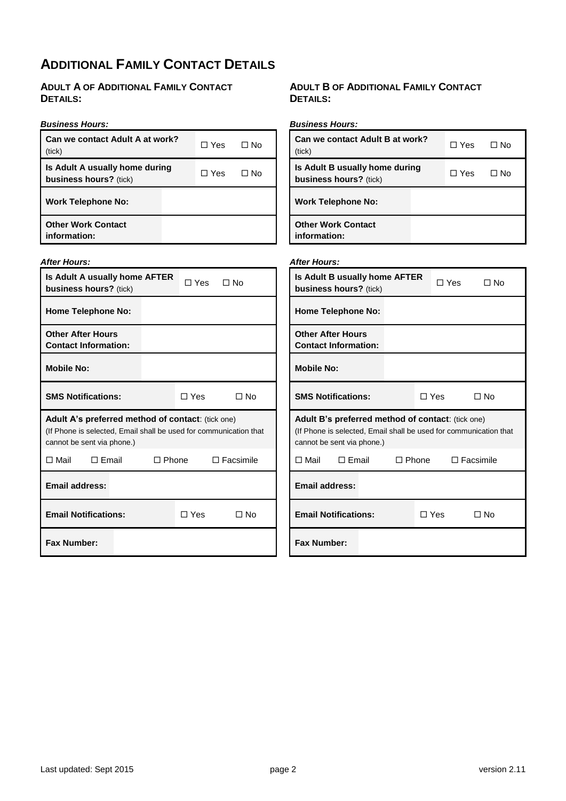### **ADDITIONAL FAMILY CONTACT DETAILS**

### **ADULT A OF ADDITIONAL FAMILY CONTACT DETAILS:**

#### *Business Hours:* **Can we contact Adult A at work?** (tick) Yes No **Is Adult A usually home during business hours?** (tick)  $\Box$  Yes  $\Box$  No **Work Telephone No: Other Work Contact information:** *Business Hours:* **Can we contact Adult B at work?** (tick)  $\Box$  Yes  $\Box$  No **Is Adult B usually home during business hours?** (tick) Yes No **Work Telephone No: Other Work Contact information:**

Yes No

### *After Hours:* **Is Adult A usually home AFTER business hours?** (tick)

| <b>Home Telephone No:</b>                                                                                                                            |                |                |       |                  |  |
|------------------------------------------------------------------------------------------------------------------------------------------------------|----------------|----------------|-------|------------------|--|
| <b>Other After Hours</b><br><b>Contact Information:</b>                                                                                              |                |                |       |                  |  |
| <b>Mobile No:</b>                                                                                                                                    |                |                |       |                  |  |
| <b>SMS Notifications:</b>                                                                                                                            |                |                | ∩ Yes | ∩ No             |  |
| Adult A's preferred method of contact: (tick one)<br>(If Phone is selected, Email shall be used for communication that<br>cannot be sent via phone.) |                |                |       |                  |  |
| Π Mail                                                                                                                                               | $\sqcap$ Email | $\sqcap$ Phone |       | $\Box$ Facsimile |  |
| <b>Email address:</b>                                                                                                                                |                |                |       |                  |  |
| <b>Email Notifications:</b>                                                                                                                          |                |                | ∩ Yes | No T             |  |
| <b>Fax Number:</b>                                                                                                                                   |                |                |       |                  |  |

### **ADULT B OF ADDITIONAL FAMILY CONTACT DETAILS:**

| <b>After Hours:</b>                                                                                                                                  |              |            |       |                  |
|------------------------------------------------------------------------------------------------------------------------------------------------------|--------------|------------|-------|------------------|
| Is Adult B usually home AFTER<br>business hours? (tick)                                                                                              |              |            | □ Yes | $\Box$ No        |
| <b>Home Telephone No:</b>                                                                                                                            |              |            |       |                  |
| <b>Other After Hours</b><br><b>Contact Information:</b>                                                                                              |              |            |       |                  |
| <b>Mobile No:</b>                                                                                                                                    |              |            |       |                  |
| <b>SMS Notifications:</b>                                                                                                                            |              | ∩ Yes      |       | ∩ No             |
| Adult B's preferred method of contact: (tick one)<br>(If Phone is selected, Email shall be used for communication that<br>cannot be sent via phone.) |              |            |       |                  |
| $\Box$ Mail<br>$\Box$ Email                                                                                                                          | $\Box$ Phone |            |       | $\Box$ Facsimile |
| Email address:                                                                                                                                       |              |            |       |                  |
| <b>Email Notifications:</b>                                                                                                                          |              | $\Box$ Yes |       | ∩ No             |
| <b>Fax Number:</b>                                                                                                                                   |              |            |       |                  |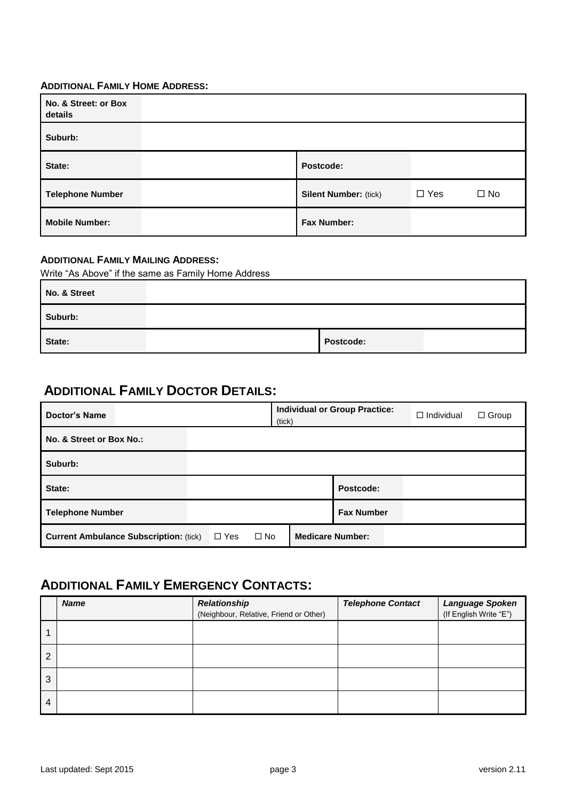### **ADDITIONAL FAMILY HOME ADDRESS:**

| No. & Street: or Box<br>details |                              |            |              |
|---------------------------------|------------------------------|------------|--------------|
| Suburb:                         |                              |            |              |
| State:                          | Postcode:                    |            |              |
| <b>Telephone Number</b>         | <b>Silent Number: (tick)</b> | $\Box$ Yes | $\square$ No |
| <b>Mobile Number:</b>           | <b>Fax Number:</b>           |            |              |

### **ADDITIONAL FAMILY MAILING ADDRESS:**

Write "As Above" if the same as Family Home Address

| No. & Street |           |  |
|--------------|-----------|--|
| Suburb:      |           |  |
| State:       | Postcode: |  |

### **ADDITIONAL FAMILY DOCTOR DETAILS:**

| <b>Doctor's Name</b>                                                        | <b>Individual or Group Practice:</b><br>(tick) | $\Box$ Individual<br>$\Box$ Group |
|-----------------------------------------------------------------------------|------------------------------------------------|-----------------------------------|
| No. & Street or Box No.:                                                    |                                                |                                   |
| Suburb:                                                                     |                                                |                                   |
| State:                                                                      |                                                | Postcode:                         |
| <b>Telephone Number</b>                                                     |                                                | <b>Fax Number</b>                 |
| <b>Current Ambulance Subscription: (tick)</b><br>$\square$ No<br>$\Box$ Yes | <b>Medicare Number:</b>                        |                                   |

### **ADDITIONAL FAMILY EMERGENCY CONTACTS:**

|   | <b>Name</b> | <b>Relationship</b><br>(Neighbour, Relative, Friend or Other) | <b>Telephone Contact</b> | Language Spoken<br>(If English Write "E") |
|---|-------------|---------------------------------------------------------------|--------------------------|-------------------------------------------|
|   |             |                                                               |                          |                                           |
| 2 |             |                                                               |                          |                                           |
| 3 |             |                                                               |                          |                                           |
| 4 |             |                                                               |                          |                                           |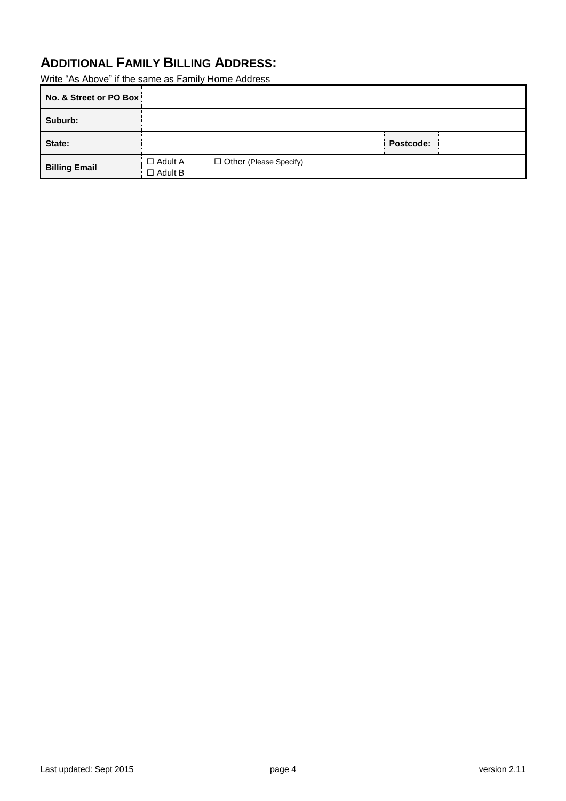## **ADDITIONAL FAMILY BILLING ADDRESS:**

Write "As Above" if the same as Family Home Address

| No. & Street or PO Box |                                  |                          |           |  |
|------------------------|----------------------------------|--------------------------|-----------|--|
| Suburb:                |                                  |                          |           |  |
| State:                 |                                  |                          | Postcode: |  |
| <b>Billing Email</b>   | $\Box$ Adult A<br>$\Box$ Adult B | □ Other (Please Specify) |           |  |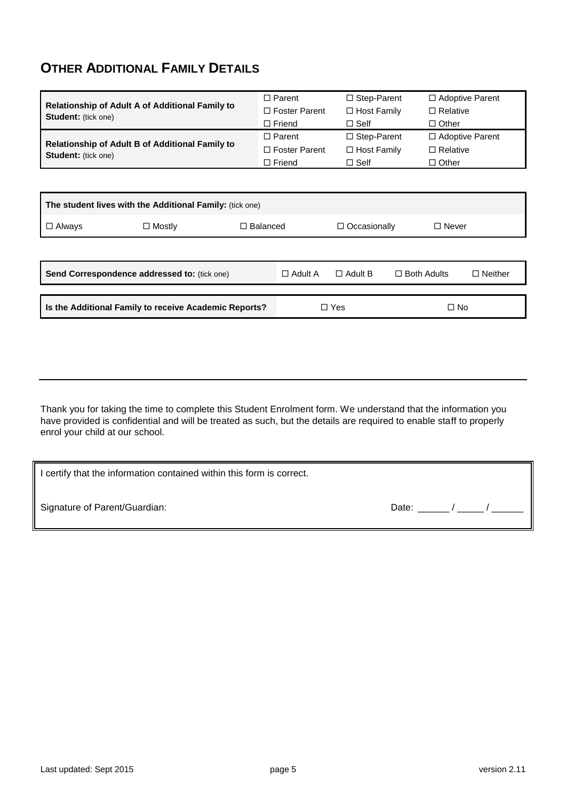### **OTHER ADDITIONAL FAMILY DETAILS**

|                                                                               | $\Box$ Parent        | $\Box$ Step-Parent | $\Box$ Adoptive Parent |
|-------------------------------------------------------------------------------|----------------------|--------------------|------------------------|
| Relationship of Adult A of Additional Family to<br><b>Student:</b> (tick one) | $\Box$ Foster Parent | $\Box$ Host Family | $\Box$ Relative        |
|                                                                               | $\Box$ Friend        | $\Box$ Self        | $\Box$ Other           |
|                                                                               | $\Box$ Parent        | $\Box$ Step-Parent | $\Box$ Adoptive Parent |
| Relationship of Adult B of Additional Family to<br><b>Student:</b> (tick one) | $\Box$ Foster Parent | $\Box$ Host Family | $\Box$ Relative        |
|                                                                               | $\Box$ Friend        | $\Box$ Self        | $\Box$ Other           |

| The student lives with the Additional Family: (tick one) |                                              |                 |                |                     |                    |                |  |  |
|----------------------------------------------------------|----------------------------------------------|-----------------|----------------|---------------------|--------------------|----------------|--|--|
| $\Box$ Always                                            | $\Box$ Mostly                                | $\Box$ Balanced |                | $\Box$ Occasionally | $\Box$ Never       |                |  |  |
|                                                          |                                              |                 |                |                     |                    |                |  |  |
|                                                          | Send Correspondence addressed to: (tick one) |                 | $\Box$ Adult A | $\Box$ Adult B      | $\Box$ Both Adults | $\Box$ Neither |  |  |
|                                                          |                                              |                 |                |                     |                    |                |  |  |
| Is the Additional Family to receive Academic Reports?    |                                              | п               | Yes            | $\square$ No        |                    |                |  |  |

Thank you for taking the time to complete this Student Enrolment form. We understand that the information you have provided is confidential and will be treated as such, but the details are required to enable staff to properly enrol your child at our school.

| I certify that the information contained within this form is correct. |       |  |
|-----------------------------------------------------------------------|-------|--|
| Signature of Parent/Guardian:                                         | Date: |  |